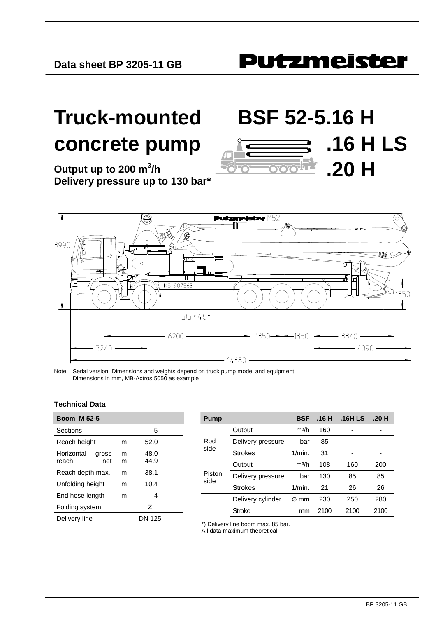## **Putzmeister**

**.16 H LS**

**.20 H** 

## **Truck-mounted BSF 52-5.16 H concrete pump**

**Output up to 200 m<sup>3</sup> /h Delivery pressure up to 130 bar\***

 $M52$ **Put** (О 3990 UQÇ KS 907563  $GG \le 481$  $6200 1350 -1350$ 3340 - $-4090 3240 -$ - 14380 -

Note: Serial version. Dimensions and weights depend on truck pump model and equipment. Dimensions in mm, MB-Actros 5050 as example

## **Technical Data**

| <b>Boom M 52-5</b>                  |        |               |  |
|-------------------------------------|--------|---------------|--|
| Sections                            |        | 5             |  |
| Reach height                        | m      | 52.0          |  |
| Horizontal<br>gross<br>reach<br>net | m<br>m | 48.0<br>44.9  |  |
| Reach depth max.                    | m      | 38.1          |  |
| Unfolding height                    | m      | 10.4          |  |
| End hose length<br>m                |        | 4             |  |
| Folding system                      | 7      |               |  |
| Delivery line                       |        | <b>DN 125</b> |  |

| Pump           |                   | <b>BSF</b>        | .16H | .16H LS | .20H |
|----------------|-------------------|-------------------|------|---------|------|
| Rod<br>side    | Output            | m <sup>3</sup> /h | 160  |         |      |
|                | Delivery pressure | bar               | 85   |         |      |
|                | <b>Strokes</b>    | $1/m$ in.         | 31   |         |      |
| Piston<br>side | Output            | m <sup>3</sup> /h | 108  | 160     | 200  |
|                | Delivery pressure | bar               | 130  | 85      | 85   |
|                | <b>Strokes</b>    | 1/min.            | 21   | 26      | 26   |
|                | Delivery cylinder | mm<br>Ø           | 230  | 250     | 280  |
|                | Stroke            | mm                | 2100 | 2100    | 2100 |

\*) Delivery line boom max. 85 bar.

All data maximum theoretical.